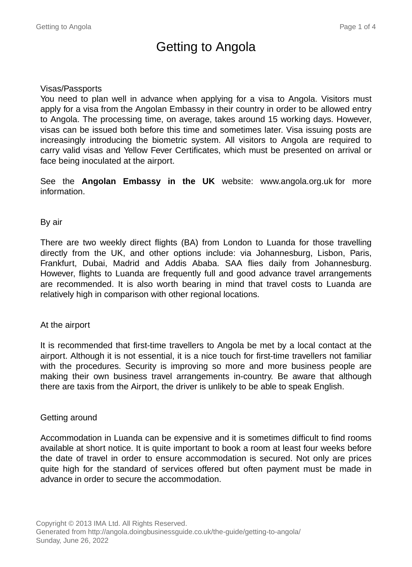# Getting to Angola

### Visas/Passports

You need to plan well in advance when applying for a visa to Angola. Visitors must apply for a visa from the Angolan Embassy in their country in order to be allowed entry to Angola. The processing time, on average, takes around 15 working days. However, visas can be issued both before this time and sometimes later. Visa issuing posts are increasingly introducing the biometric system. All visitors to Angola are required to carry valid visas and Yellow Fever Certificates, which must be presented on arrival or face being inoculated at the airport.

See the **Angolan Embassy in the UK** website: www.angola.org.uk for more information.

#### By air

There are two weekly direct flights (BA) from London to Luanda for those travelling directly from the UK, and other options include: via Johannesburg, Lisbon, Paris, Frankfurt, Dubai, Madrid and Addis Ababa. SAA flies daily from Johannesburg. However, flights to Luanda are frequently full and good advance travel arrangements are recommended. It is also worth bearing in mind that travel costs to Luanda are relatively high in comparison with other regional locations.

#### At the airport

It is recommended that first-time travellers to Angola be met by a local contact at the airport. Although it is not essential, it is a nice touch for first-time travellers not familiar with the procedures. Security is improving so more and more business people are making their own business travel arrangements in-country. Be aware that although there are taxis from the Airport, the driver is unlikely to be able to speak English.

#### Getting around

Accommodation in Luanda can be expensive and it is sometimes difficult to find rooms available at short notice. It is quite important to book a room at least four weeks before the date of travel in order to ensure accommodation is secured. Not only are prices quite high for the standard of services offered but often payment must be made in advance in order to secure the accommodation.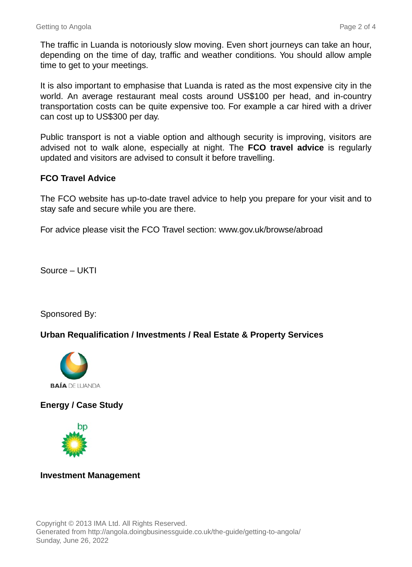The traffic in Luanda is notoriously slow moving. Even short journeys can take an hour, depending on the time of day, traffic and weather conditions. You should allow ample time to get to your meetings.

It is also important to emphasise that Luanda is rated as the most expensive city in the world. An average restaurant meal costs around US\$100 per head, and in-country transportation costs can be quite expensive too. For example a car hired with a driver can cost up to US\$300 per day.

Public transport is not a viable option and although security is improving, visitors are advised not to walk alone, especially at night. The **FCO travel advice** is regularly updated and visitors are advised to consult it before travelling.

## **FCO Travel Advice**

The FCO website has up-to-date travel advice to help you prepare for your visit and to stay safe and secure while you are there.

For advice please visit the FCO Travel section: www.gov.uk/browse/abroad

Source – UKTI

Sponsored By:

## **Urban Requalification / Investments / Real Estate & Property Services**



## **Energy / Case Study**



## **Investment Management**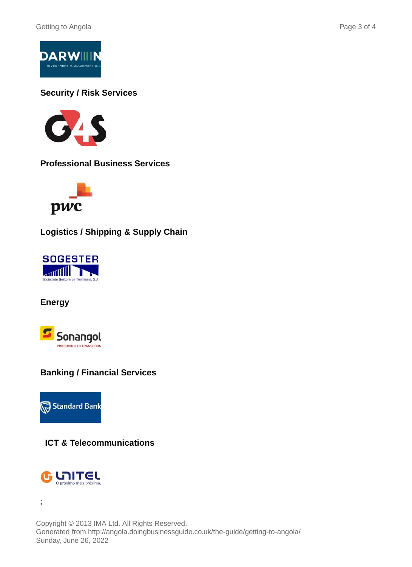

**Security / Risk Services**



**Professional Business Services**



**Logistics / Shipping & Supply Chain**



**Energy**



## **Banking / Financial Services**



**ICT & Telecommunications**



;

Copyright © 2013 IMA Ltd. All Rights Reserved. Generated from http://angola.doingbusinessguide.co.uk/the-guide/getting-to-angola/ Sunday, June 26, 2022